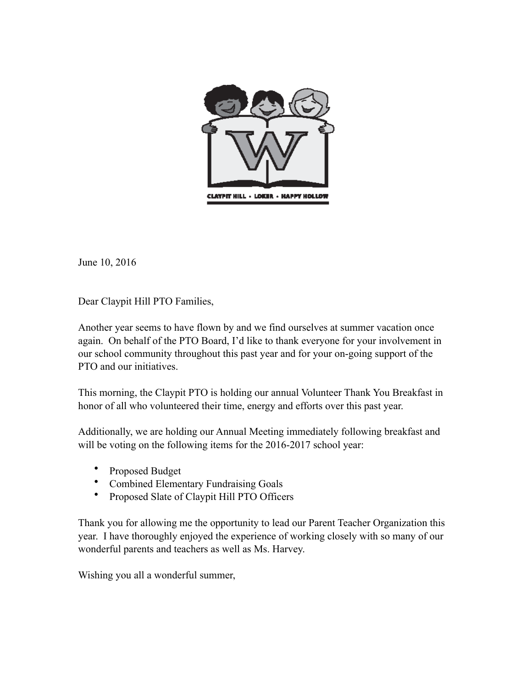

June 10, 2016

Dear Claypit Hill PTO Families,

Another year seems to have flown by and we find ourselves at summer vacation once again. On behalf of the PTO Board, I'd like to thank everyone for your involvement in our school community throughout this past year and for your on-going support of the PTO and our initiatives.

This morning, the Claypit PTO is holding our annual Volunteer Thank You Breakfast in honor of all who volunteered their time, energy and efforts over this past year.

Additionally, we are holding our Annual Meeting immediately following breakfast and will be voting on the following items for the 2016-2017 school year:

- Proposed Budget<br>• Combined Elemen
- Combined Elementary Fundraising Goals
- Proposed Slate of Claypit Hill PTO Officers

Thank you for allowing me the opportunity to lead our Parent Teacher Organization this year. I have thoroughly enjoyed the experience of working closely with so many of our wonderful parents and teachers as well as Ms. Harvey.

Wishing you all a wonderful summer,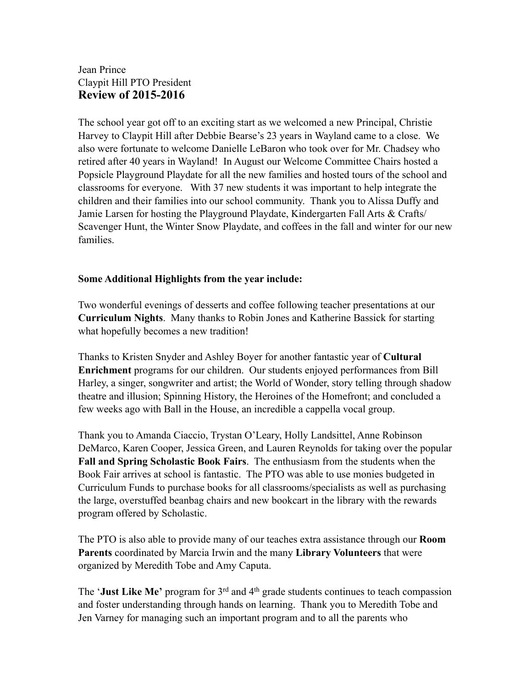## Jean Prince Claypit Hill PTO President **Review of 2015-2016**

The school year got off to an exciting start as we welcomed a new Principal, Christie Harvey to Claypit Hill after Debbie Bearse's 23 years in Wayland came to a close. We also were fortunate to welcome Danielle LeBaron who took over for Mr. Chadsey who retired after 40 years in Wayland! In August our Welcome Committee Chairs hosted a Popsicle Playground Playdate for all the new families and hosted tours of the school and classrooms for everyone. With 37 new students it was important to help integrate the children and their families into our school community. Thank you to Alissa Duffy and Jamie Larsen for hosting the Playground Playdate, Kindergarten Fall Arts & Crafts/ Scavenger Hunt, the Winter Snow Playdate, and coffees in the fall and winter for our new families.

### **Some Additional Highlights from the year include:**

Two wonderful evenings of desserts and coffee following teacher presentations at our **Curriculum Nights**. Many thanks to Robin Jones and Katherine Bassick for starting what hopefully becomes a new tradition!

Thanks to Kristen Snyder and Ashley Boyer for another fantastic year of **Cultural Enrichment** programs for our children. Our students enjoyed performances from Bill Harley, a singer, songwriter and artist; the World of Wonder, story telling through shadow theatre and illusion; Spinning History, the Heroines of the Homefront; and concluded a few weeks ago with Ball in the House, an incredible a cappella vocal group.

Thank you to Amanda Ciaccio, Trystan O'Leary, Holly Landsittel, Anne Robinson DeMarco, Karen Cooper, Jessica Green, and Lauren Reynolds for taking over the popular **Fall and Spring Scholastic Book Fairs**. The enthusiasm from the students when the Book Fair arrives at school is fantastic. The PTO was able to use monies budgeted in Curriculum Funds to purchase books for all classrooms/specialists as well as purchasing the large, overstuffed beanbag chairs and new bookcart in the library with the rewards program offered by Scholastic.

The PTO is also able to provide many of our teaches extra assistance through our **Room Parents** coordinated by Marcia Irwin and the many **Library Volunteers** that were organized by Meredith Tobe and Amy Caputa.

The '**Just Like Me'** program for 3rd and 4th grade students continues to teach compassion and foster understanding through hands on learning. Thank you to Meredith Tobe and Jen Varney for managing such an important program and to all the parents who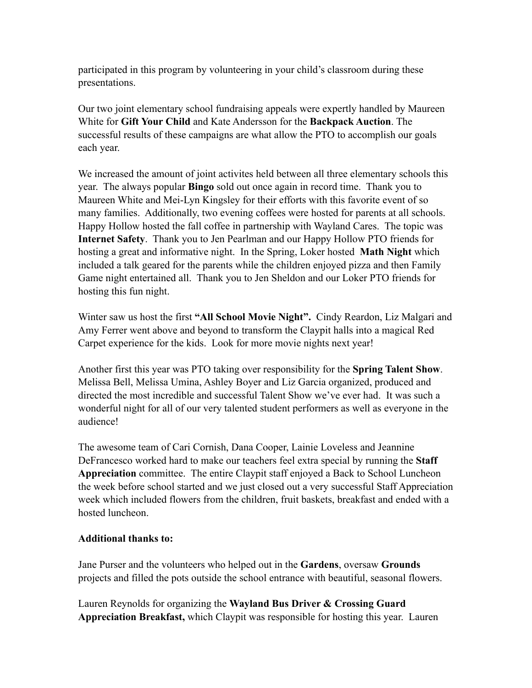participated in this program by volunteering in your child's classroom during these presentations.

Our two joint elementary school fundraising appeals were expertly handled by Maureen White for **Gift Your Child** and Kate Andersson for the **Backpack Auction**. The successful results of these campaigns are what allow the PTO to accomplish our goals each year.

We increased the amount of joint activites held between all three elementary schools this year. The always popular **Bingo** sold out once again in record time. Thank you to Maureen White and Mei-Lyn Kingsley for their efforts with this favorite event of so many families. Additionally, two evening coffees were hosted for parents at all schools. Happy Hollow hosted the fall coffee in partnership with Wayland Cares. The topic was **Internet Safety**. Thank you to Jen Pearlman and our Happy Hollow PTO friends for hosting a great and informative night. In the Spring, Loker hosted **Math Night** which included a talk geared for the parents while the children enjoyed pizza and then Family Game night entertained all. Thank you to Jen Sheldon and our Loker PTO friends for hosting this fun night.

Winter saw us host the first **"All School Movie Night".** Cindy Reardon, Liz Malgari and Amy Ferrer went above and beyond to transform the Claypit halls into a magical Red Carpet experience for the kids. Look for more movie nights next year!

Another first this year was PTO taking over responsibility for the **Spring Talent Show**. Melissa Bell, Melissa Umina, Ashley Boyer and Liz Garcia organized, produced and directed the most incredible and successful Talent Show we've ever had. It was such a wonderful night for all of our very talented student performers as well as everyone in the audience!

The awesome team of Cari Cornish, Dana Cooper, Lainie Loveless and Jeannine DeFrancesco worked hard to make our teachers feel extra special by running the **Staff Appreciation** committee. The entire Claypit staff enjoyed a Back to School Luncheon the week before school started and we just closed out a very successful Staff Appreciation week which included flowers from the children, fruit baskets, breakfast and ended with a hosted luncheon.

### **Additional thanks to:**

Jane Purser and the volunteers who helped out in the **Gardens**, oversaw **Grounds** projects and filled the pots outside the school entrance with beautiful, seasonal flowers.

Lauren Reynolds for organizing the **Wayland Bus Driver & Crossing Guard Appreciation Breakfast,** which Claypit was responsible for hosting this year. Lauren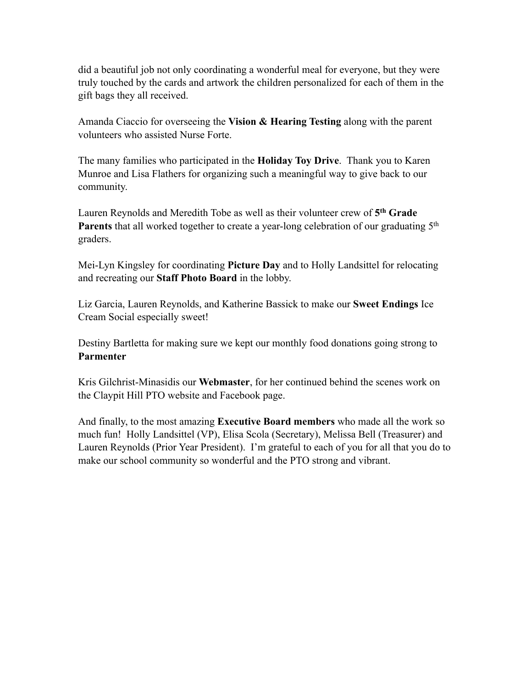did a beautiful job not only coordinating a wonderful meal for everyone, but they were truly touched by the cards and artwork the children personalized for each of them in the gift bags they all received.

Amanda Ciaccio for overseeing the **Vision & Hearing Testing** along with the parent volunteers who assisted Nurse Forte.

The many families who participated in the **Holiday Toy Drive**. Thank you to Karen Munroe and Lisa Flathers for organizing such a meaningful way to give back to our community.

Lauren Reynolds and Meredith Tobe as well as their volunteer crew of **5th Grade Parents** that all worked together to create a year-long celebration of our graduating 5<sup>th</sup> graders.

Mei-Lyn Kingsley for coordinating **Picture Day** and to Holly Landsittel for relocating and recreating our **Staff Photo Board** in the lobby.

Liz Garcia, Lauren Reynolds, and Katherine Bassick to make our **Sweet Endings** Ice Cream Social especially sweet!

Destiny Bartletta for making sure we kept our monthly food donations going strong to **Parmenter**

Kris Gilchrist-Minasidis our **Webmaster**, for her continued behind the scenes work on the Claypit Hill PTO website and Facebook page.

And finally, to the most amazing **Executive Board members** who made all the work so much fun! Holly Landsittel (VP), Elisa Scola (Secretary), Melissa Bell (Treasurer) and Lauren Reynolds (Prior Year President). I'm grateful to each of you for all that you do to make our school community so wonderful and the PTO strong and vibrant.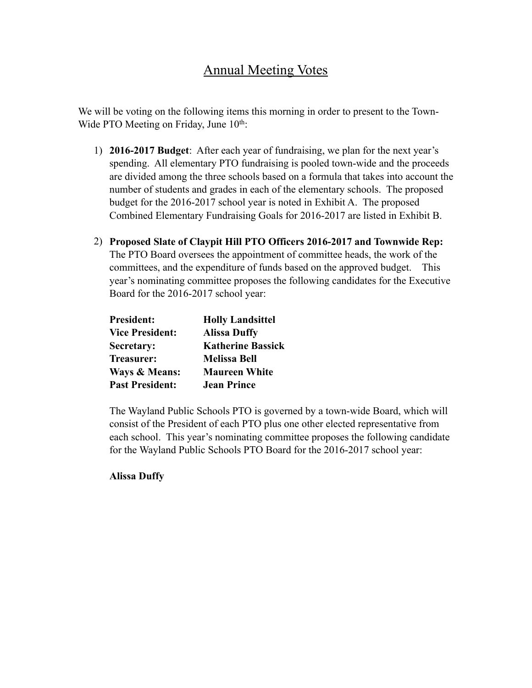# Annual Meeting Votes

We will be voting on the following items this morning in order to present to the Town-Wide PTO Meeting on Friday, June 10<sup>th</sup>:

- 1) **2016-2017 Budget**: After each year of fundraising, we plan for the next year's spending. All elementary PTO fundraising is pooled town-wide and the proceeds are divided among the three schools based on a formula that takes into account the number of students and grades in each of the elementary schools. The proposed budget for the 2016-2017 school year is noted in Exhibit A. The proposed Combined Elementary Fundraising Goals for 2016-2017 are listed in Exhibit B.
- 2) **Proposed Slate of Claypit Hill PTO Officers 2016-2017 and Townwide Rep:** The PTO Board oversees the appointment of committee heads, the work of the committees, and the expenditure of funds based on the approved budget. This year's nominating committee proposes the following candidates for the Executive Board for the 2016-2017 school year:

| <b>President:</b>        | <b>Holly Landsittel</b>  |
|--------------------------|--------------------------|
| <b>Vice President:</b>   | <b>Alissa Duffy</b>      |
| Secretary:               | <b>Katherine Bassick</b> |
| Treasurer:               | <b>Melissa Bell</b>      |
| <b>Ways &amp; Means:</b> | <b>Maureen White</b>     |
| <b>Past President:</b>   | <b>Jean Prince</b>       |

The Wayland Public Schools PTO is governed by a town-wide Board, which will consist of the President of each PTO plus one other elected representative from each school. This year's nominating committee proposes the following candidate for the Wayland Public Schools PTO Board for the 2016-2017 school year:

### **Alissa Duffy**